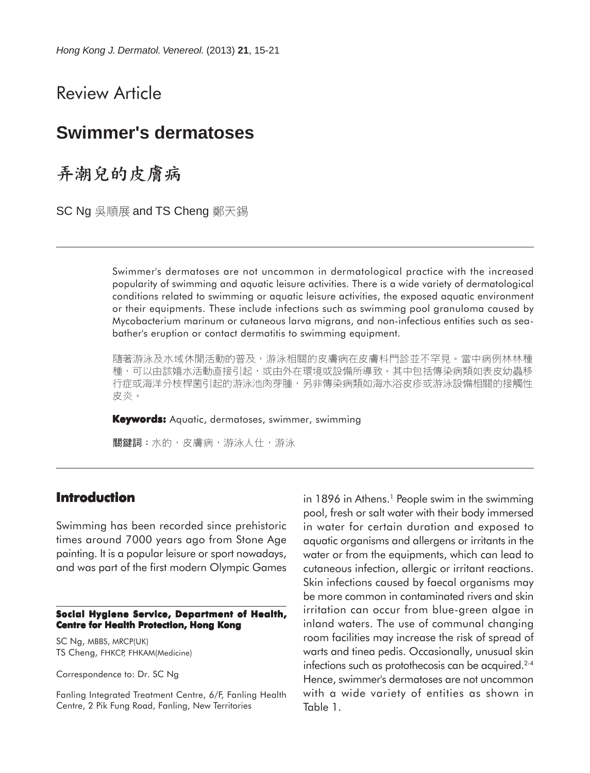Review Article

# **Swimmer's dermatoses**

弄潮兒的皮膚病

SC Ng 吳順展 and TS Cheng 鄭天錫

Swimmer's dermatoses are not uncommon in dermatological practice with the increased popularity of swimming and aquatic leisure activities. There is a wide variety of dermatological conditions related to swimming or aquatic leisure activities, the exposed aquatic environment or their equipments. These include infections such as swimming pool granuloma caused by Mycobacterium marinum or cutaneous larva migrans, and non-infectious entities such as seabather's eruption or contact dermatitis to swimming equipment.

隨著游泳及水域休閒活動的普及,游泳相關的皮膚病在皮膚科門診並不罕見。當中病例林林種 種,可以由該嬉水活動直接引起,或由外在環境或設備所導致。其中包括傳染病類如表皮幼蟲移 行症或海洋分枝桿菌引起的游泳池肉芽腫,另非傳染病類如海水浴皮疹或游泳設備相關的接觸性 皮炎。

**Keywords:** Aquatic, dermatoses, swimmer, swimming

關鍵詞:水的,皮膚病,游泳人仕,游泳

### **Introduction**

Swimming has been recorded since prehistoric times around 7000 years ago from Stone Age painting. It is a popular leisure or sport nowadays, and was part of the first modern Olympic Games

#### **Social Hygiene Service, Department of Health, Centre for Health Protection, Hong Kong**

SC Ng, MBBS, MRCP(UK) TS Cheng, FHKCP, FHKAM(Medicine)

Correspondence to: Dr. SC Ng

Fanling Integrated Treatment Centre, 6/F, Fanling Health Centre, 2 Pik Fung Road, Fanling, New Territories

in 1896 in Athens.<sup>1</sup> People swim in the swimming pool, fresh or salt water with their body immersed in water for certain duration and exposed to aquatic organisms and allergens or irritants in the water or from the equipments, which can lead to cutaneous infection, allergic or irritant reactions. Skin infections caused by faecal organisms may be more common in contaminated rivers and skin irritation can occur from blue-green algae in inland waters. The use of communal changing room facilities may increase the risk of spread of warts and tinea pedis. Occasionally, unusual skin infections such as protothecosis can be acquired.<sup>2-4</sup> Hence, swimmer's dermatoses are not uncommon with a wide variety of entities as shown in Table 1.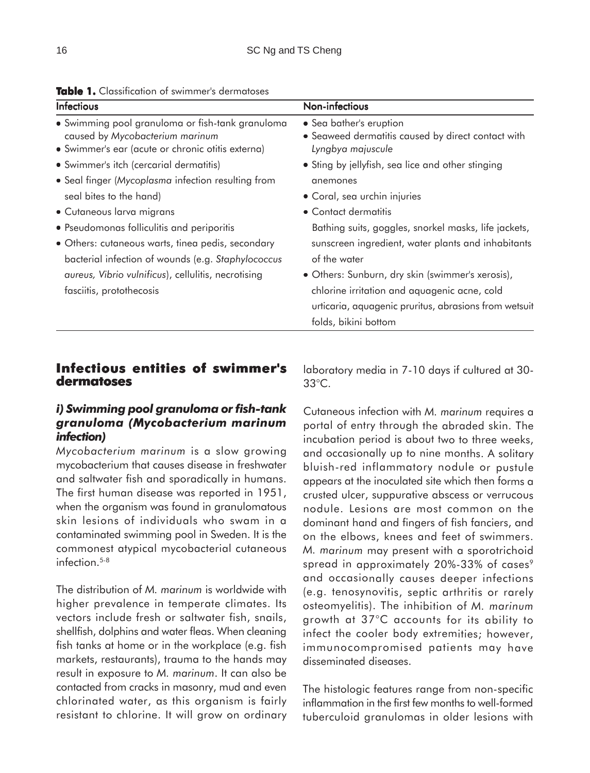| <b>Infectious</b>                                                                                                                        | Non-infectious                                                                                                                |
|------------------------------------------------------------------------------------------------------------------------------------------|-------------------------------------------------------------------------------------------------------------------------------|
| • Swimming pool granuloma or fish-tank granuloma<br>caused by Mycobacterium marinum<br>· Swimmer's ear (acute or chronic otitis externa) | • Sea bather's eruption<br>• Seaweed dermatitis caused by direct contact with<br>Lyngbya majuscule                            |
| • Swimmer's itch (cercarial dermatitis)                                                                                                  | • Sting by jellyfish, sea lice and other stinging                                                                             |
| • Seal finger (Mycoplasma infection resulting from                                                                                       | anemones                                                                                                                      |
| seal bites to the hand)                                                                                                                  | • Coral, sea urchin injuries                                                                                                  |
| • Cutaneous larva migrans                                                                                                                | • Contact dermatitis                                                                                                          |
| • Pseudomonas folliculitis and periporitis                                                                                               | Bathing suits, goggles, snorkel masks, life jackets,                                                                          |
| • Others: cutaneous warts, tinea pedis, secondary<br>bacterial infection of wounds (e.g. Staphylococcus                                  | sunscreen ingredient, water plants and inhabitants<br>of the water                                                            |
| aureus, Vibrio vulnificus), cellulitis, necrotising                                                                                      | · Others: Sunburn, dry skin (swimmer's xerosis),                                                                              |
| fasciitis, protothecosis                                                                                                                 | chlorine irritation and aquagenic acne, cold<br>urticaria, aquagenic pruritus, abrasions from wetsuit<br>folds, bikini bottom |

#### **Table 1.** Classification of swimmer's dermatoses

### **Infectious entities of swimmer's dermatoses**

### *i) Swimming pool granuloma or fish-tank granuloma (Mycobacterium marinum infection)*

*Mycobacterium marinum* is a slow growing mycobacterium that causes disease in freshwater and saltwater fish and sporadically in humans. The first human disease was reported in 1951, when the organism was found in granulomatous skin lesions of individuals who swam in a contaminated swimming pool in Sweden. It is the commonest atypical mycobacterial cutaneous infection $5-8$ 

The distribution of *M. marinum* is worldwide with higher prevalence in temperate climates. Its vectors include fresh or saltwater fish, snails, shellfish, dolphins and water fleas. When cleaning fish tanks at home or in the workplace (e.g. fish markets, restaurants), trauma to the hands may result in exposure to *M. marinum*. It can also be contacted from cracks in masonry, mud and even chlorinated water, as this organism is fairly resistant to chlorine. It will grow on ordinary laboratory media in 7-10 days if cultured at 30- 33°C.

Cutaneous infection with *M. marinum* requires a portal of entry through the abraded skin. The incubation period is about two to three weeks, and occasionally up to nine months. A solitary bluish-red inflammatory nodule or pustule appears at the inoculated site which then forms a crusted ulcer, suppurative abscess or verrucous nodule. Lesions are most common on the dominant hand and fingers of fish fanciers, and on the elbows, knees and feet of swimmers. *M. marinum* may present with a sporotrichoid spread in approximately 20%-33% of cases<sup>9</sup> and occasionally causes deeper infections (e.g. tenosynovitis, septic arthritis or rarely osteomyelitis). The inhibition of *M. marinum* growth at 37°C accounts for its ability to infect the cooler body extremities; however, immunocompromised patients may have disseminated diseases.

The histologic features range from non-specific inflammation in the first few months to well-formed tuberculoid granulomas in older lesions with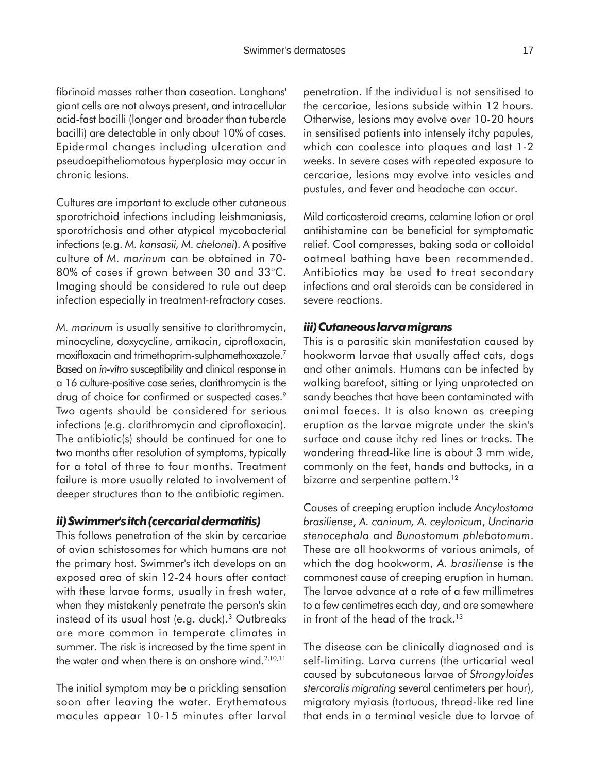fibrinoid masses rather than caseation. Langhans' giant cells are not always present, and intracellular acid-fast bacilli (longer and broader than tubercle bacilli) are detectable in only about 10% of cases. Epidermal changes including ulceration and pseudoepitheliomatous hyperplasia may occur in chronic lesions.

Cultures are important to exclude other cutaneous sporotrichoid infections including leishmaniasis, sporotrichosis and other atypical mycobacterial infections (e.g. *M. kansasii, M. chelonei*). A positive culture of *M. marinum* can be obtained in 70- 80% of cases if grown between 30 and 33°C. Imaging should be considered to rule out deep infection especially in treatment-refractory cases.

*M. marinum* is usually sensitive to clarithromycin, minocycline, doxycycline, amikacin, ciprofloxacin, moxifloxacin and trimethoprim-sulphamethoxazole.7 Based on *in-vitro* susceptibility and clinical response in a 16 culture-positive case series, clarithromycin is the drug of choice for confirmed or suspected cases.<sup>9</sup> Two agents should be considered for serious infections (e.g. clarithromycin and ciprofloxacin). The antibiotic(s) should be continued for one to two months after resolution of symptoms, typically for a total of three to four months. Treatment failure is more usually related to involvement of deeper structures than to the antibiotic regimen.

#### *ii) Swimmer's itch (cercarial dermatitis)*

This follows penetration of the skin by cercariae of avian schistosomes for which humans are not the primary host. Swimmer's itch develops on an exposed area of skin 12-24 hours after contact with these larvae forms, usually in fresh water, when they mistakenly penetrate the person's skin instead of its usual host (e.g. duck).3 Outbreaks are more common in temperate climates in summer. The risk is increased by the time spent in the water and when there is an onshore wind.<sup>2,10,11</sup>

The initial symptom may be a prickling sensation soon after leaving the water. Erythematous macules appear 10-15 minutes after larval penetration. If the individual is not sensitised to the cercariae, lesions subside within 12 hours. Otherwise, lesions may evolve over 10-20 hours in sensitised patients into intensely itchy papules, which can coalesce into plaques and last 1-2 weeks. In severe cases with repeated exposure to cercariae, lesions may evolve into vesicles and pustules, and fever and headache can occur.

Mild corticosteroid creams, calamine lotion or oral antihistamine can be beneficial for symptomatic relief. Cool compresses, baking soda or colloidal oatmeal bathing have been recommended. Antibiotics may be used to treat secondary infections and oral steroids can be considered in severe reactions.

#### *iii) Cutaneous larva migrans*

This is a parasitic skin manifestation caused by hookworm larvae that usually affect cats, dogs and other animals. Humans can be infected by walking barefoot, sitting or lying unprotected on sandy beaches that have been contaminated with animal faeces. It is also known as creeping eruption as the larvae migrate under the skin's surface and cause itchy red lines or tracks. The wandering thread-like line is about 3 mm wide, commonly on the feet, hands and buttocks, in a bizarre and serpentine pattern.<sup>12</sup>

Causes of creeping eruption include *Ancylostoma brasiliense*, *A. caninum, A. ceylonicum*, *Uncinaria stenocephala* and *Bunostomum phlebotomum*. These are all hookworms of various animals, of which the dog hookworm, *A. brasiliense* is the commonest cause of creeping eruption in human. The larvae advance at a rate of a few millimetres to a few centimetres each day, and are somewhere in front of the head of the track.<sup>13</sup>

The disease can be clinically diagnosed and is self-limiting. Larva currens (the urticarial weal caused by subcutaneous larvae of *Strongyloides stercoralis migrating* several centimeters per hour), migratory myiasis (tortuous, thread-like red line that ends in a terminal vesicle due to larvae of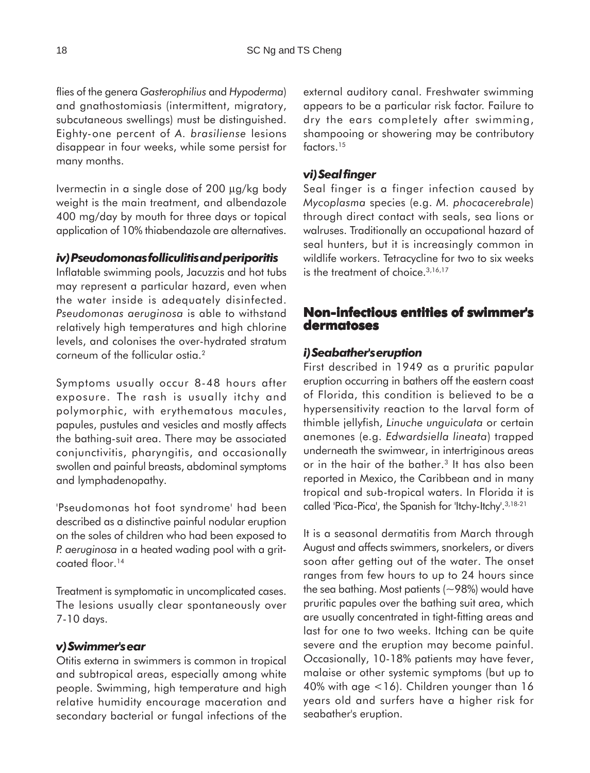flies of the genera *Gasterophilius* and *Hypoderma*) and gnathostomiasis (intermittent, migratory, subcutaneous swellings) must be distinguished. Eighty-one percent of *A. brasiliense* lesions disappear in four weeks, while some persist for many months.

Ivermectin in a single dose of 200 µg/kg body weight is the main treatment, and albendazole 400 mg/day by mouth for three days or topical application of 10% thiabendazole are alternatives.

#### *iv) Pseudomonas folliculitis and periporitis*

Inflatable swimming pools, Jacuzzis and hot tubs may represent a particular hazard, even when the water inside is adequately disinfected. *Pseudomonas aeruginosa* is able to withstand relatively high temperatures and high chlorine levels, and colonises the over-hydrated stratum corneum of the follicular ostia.<sup>2</sup>

Symptoms usually occur 8-48 hours after exposure. The rash is usually itchy and polymorphic, with erythematous macules, papules, pustules and vesicles and mostly affects the bathing-suit area. There may be associated conjunctivitis, pharyngitis, and occasionally swollen and painful breasts, abdominal symptoms and lymphadenopathy.

'Pseudomonas hot foot syndrome' had been described as a distinctive painful nodular eruption on the soles of children who had been exposed to *P. aeruginosa* in a heated wading pool with a gritcoated floor.<sup>14</sup>

Treatment is symptomatic in uncomplicated cases. The lesions usually clear spontaneously over 7-10 days.

#### *v) Swimmer's ear*

Otitis externa in swimmers is common in tropical and subtropical areas, especially among white people. Swimming, high temperature and high relative humidity encourage maceration and secondary bacterial or fungal infections of the

external auditory canal. Freshwater swimming appears to be a particular risk factor. Failure to dry the ears completely after swimming, shampooing or showering may be contributory factors.15

#### *vi) Seal finger*

Seal finger is a finger infection caused by *Mycoplasma* species (e.g. *M. phocacerebrale*) through direct contact with seals, sea lions or walruses. Traditionally an occupational hazard of seal hunters, but it is increasingly common in wildlife workers. Tetracycline for two to six weeks is the treatment of choice.<sup>3,16,17</sup>

## **Non-infectious entities of swimmer's dermatoses**

#### *i) Seabather's eruption*

First described in 1949 as a pruritic papular eruption occurring in bathers off the eastern coast of Florida, this condition is believed to be a hypersensitivity reaction to the larval form of thimble jellyfish, *Linuche unguiculata* or certain anemones (e.g. *Edwardsiella lineata*) trapped underneath the swimwear, in intertriginous areas or in the hair of the bather.<sup>3</sup> It has also been reported in Mexico, the Caribbean and in many tropical and sub-tropical waters. In Florida it is called 'Pica-Pica', the Spanish for 'Itchy-Itchy'.<sup>3,18-21</sup>

It is a seasonal dermatitis from March through August and affects swimmers, snorkelers, or divers soon after getting out of the water. The onset ranges from few hours to up to 24 hours since the sea bathing. Most patients  $(-98%)$  would have pruritic papules over the bathing suit area, which are usually concentrated in tight-fitting areas and last for one to two weeks. Itching can be quite severe and the eruption may become painful. Occasionally, 10-18% patients may have fever, malaise or other systemic symptoms (but up to 40% with age <16). Children younger than 16 years old and surfers have a higher risk for seabather's eruption.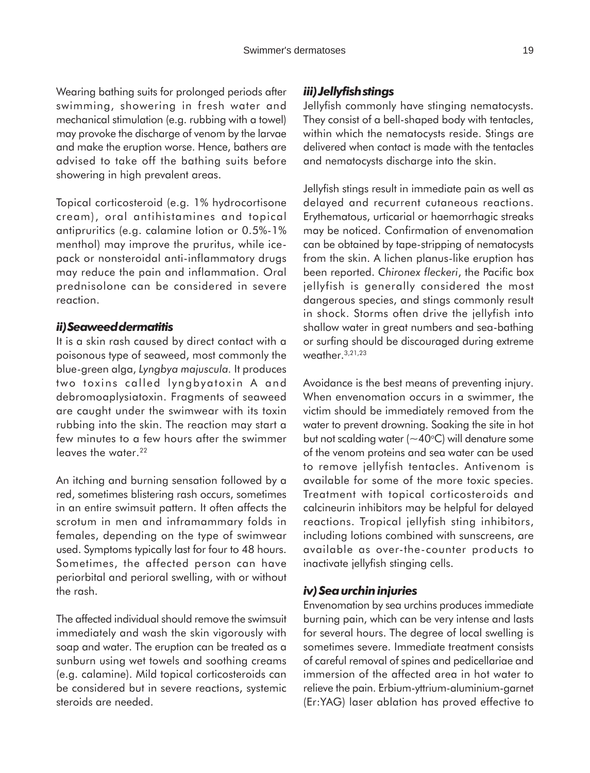Wearing bathing suits for prolonged periods after swimming, showering in fresh water and mechanical stimulation (e.g. rubbing with a towel) may provoke the discharge of venom by the larvae and make the eruption worse. Hence, bathers are advised to take off the bathing suits before showering in high prevalent areas.

Topical corticosteroid (e.g. 1% hydrocortisone cream), oral antihistamines and topical antipruritics (e.g. calamine lotion or 0.5%-1% menthol) may improve the pruritus, while icepack or nonsteroidal anti-inflammatory drugs may reduce the pain and inflammation. Oral prednisolone can be considered in severe reaction.

#### *ii) Seaweed dermatitis*

It is a skin rash caused by direct contact with a poisonous type of seaweed, most commonly the blue-green alga, *Lyngbya majuscula.* It produces two toxins called lyngbyatoxin A and debromoaplysiatoxin. Fragments of seaweed are caught under the swimwear with its toxin rubbing into the skin. The reaction may start a few minutes to a few hours after the swimmer leaves the water.<sup>22</sup>

An itching and burning sensation followed by a red, sometimes blistering rash occurs, sometimes in an entire swimsuit pattern. It often affects the scrotum in men and inframammary folds in females, depending on the type of swimwear used. Symptoms typically last for four to 48 hours. Sometimes, the affected person can have periorbital and perioral swelling, with or without the rash.

The affected individual should remove the swimsuit immediately and wash the skin vigorously with soap and water. The eruption can be treated as a sunburn using wet towels and soothing creams (e.g. calamine). Mild topical corticosteroids can be considered but in severe reactions, systemic steroids are needed.

### *iii) Jellyfish stings*

Jellyfish commonly have stinging nematocysts. They consist of a bell-shaped body with tentacles, within which the nematocysts reside. Stings are delivered when contact is made with the tentacles and nematocysts discharge into the skin.

Jellyfish stings result in immediate pain as well as delayed and recurrent cutaneous reactions. Erythematous, urticarial or haemorrhagic streaks may be noticed. Confirmation of envenomation can be obtained by tape-stripping of nematocysts from the skin. A lichen planus-like eruption has been reported. *Chironex fleckeri*, the Pacific box jellyfish is generally considered the most dangerous species, and stings commonly result in shock. Storms often drive the jellyfish into shallow water in great numbers and sea-bathing or surfing should be discouraged during extreme weather.3,21,23

Avoidance is the best means of preventing injury. When envenomation occurs in a swimmer, the victim should be immediately removed from the water to prevent drowning. Soaking the site in hot but not scalding water ( $\sim$ 40°C) will denature some of the venom proteins and sea water can be used to remove jellyfish tentacles. Antivenom is available for some of the more toxic species. Treatment with topical corticosteroids and calcineurin inhibitors may be helpful for delayed reactions. Tropical jellyfish sting inhibitors, including lotions combined with sunscreens, are available as over-the-counter products to inactivate jellyfish stinging cells.

#### *iv) Sea urchin injuries*

Envenomation by sea urchins produces immediate burning pain, which can be very intense and lasts for several hours. The degree of local swelling is sometimes severe. Immediate treatment consists of careful removal of spines and pedicellariae and immersion of the affected area in hot water to relieve the pain. Erbium-yttrium-aluminium-garnet (Er:YAG) laser ablation has proved effective to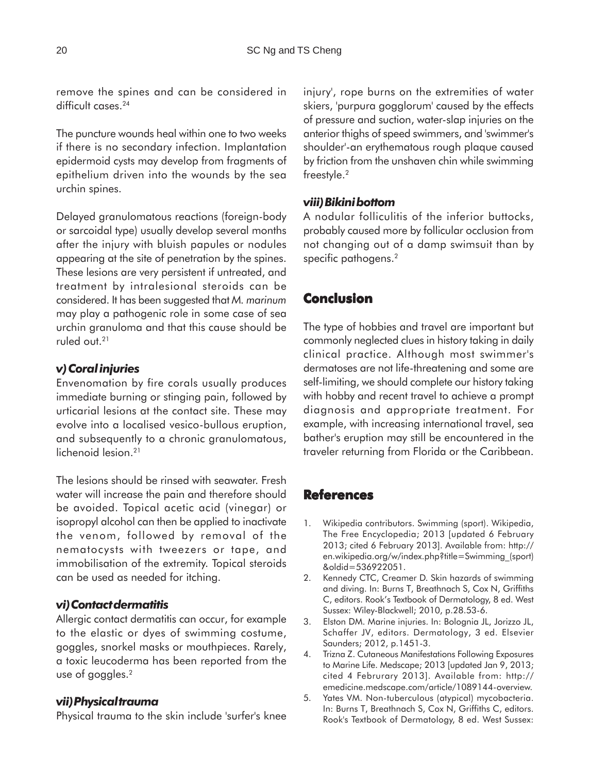remove the spines and can be considered in difficult cases.<sup>24</sup>

The puncture wounds heal within one to two weeks if there is no secondary infection. Implantation epidermoid cysts may develop from fragments of epithelium driven into the wounds by the sea urchin spines.

Delayed granulomatous reactions (foreign-body or sarcoidal type) usually develop several months after the injury with bluish papules or nodules appearing at the site of penetration by the spines. These lesions are very persistent if untreated, and treatment by intralesional steroids can be considered. It has been suggested that *M. marinum* may play a pathogenic role in some case of sea urchin granuloma and that this cause should be ruled out.21

### *v) Coral injuries*

Envenomation by fire corals usually produces immediate burning or stinging pain, followed by urticarial lesions at the contact site. These may evolve into a localised vesico-bullous eruption, and subsequently to a chronic granulomatous, lichenoid lesion.<sup>21</sup>

The lesions should be rinsed with seawater. Fresh water will increase the pain and therefore should be avoided. Topical acetic acid (vinegar) or isopropyl alcohol can then be applied to inactivate the venom, followed by removal of the nematocysts with tweezers or tape, and immobilisation of the extremity. Topical steroids can be used as needed for itching.

### *vi) Contact dermatitis*

Allergic contact dermatitis can occur, for example to the elastic or dyes of swimming costume, goggles, snorkel masks or mouthpieces. Rarely, a toxic leucoderma has been reported from the use of goggles.2

#### *vii) Physical trauma*

Physical trauma to the skin include 'surfer's knee

injury', rope burns on the extremities of water skiers, 'purpura gogglorum' caused by the effects of pressure and suction, water-slap injuries on the anterior thighs of speed swimmers, and 'swimmer's shoulder'-an erythematous rough plaque caused by friction from the unshaven chin while swimming freestyle.<sup>2</sup>

### *viii) Bikini bottom*

A nodular folliculitis of the inferior buttocks, probably caused more by follicular occlusion from not changing out of a damp swimsuit than by specific pathogens.<sup>2</sup>

## **Conclusion**

The type of hobbies and travel are important but commonly neglected clues in history taking in daily clinical practice. Although most swimmer's dermatoses are not life-threatening and some are self-limiting, we should complete our history taking with hobby and recent travel to achieve a prompt diagnosis and appropriate treatment. For example, with increasing international travel, sea bather's eruption may still be encountered in the traveler returning from Florida or the Caribbean.

## **References**

- 1. Wikipedia contributors. Swimming (sport). Wikipedia, The Free Encyclopedia; 2013 [updated 6 February 2013; cited 6 February 2013]. Available from: http:// en.wikipedia.org/w/index.php?title=Swimming\_(sport) &oldid=536922051.
- 2. Kennedy CTC, Creamer D. Skin hazards of swimming and diving. In: Burns T, Breathnach S, Cox N, Griffiths C, editors. Rook's Textbook of Dermatology, 8 ed. West Sussex: Wiley-Blackwell; 2010, p.28.53-6.
- 3. Elston DM. Marine injuries. In: Bolognia JL, Jorizzo JL, Schaffer JV, editors. Dermatology, 3 ed. Elsevier Saunders; 2012, p.1451-3.
- 4. Trizna Z. Cutaneous Manifestations Following Exposures to Marine Life. Medscape; 2013 [updated Jan 9, 2013; cited 4 Februrary 2013]. Available from: http:// emedicine.medscape.com/article/1089144-overview.
- 5. Yates VM. Non-tuberculous (atypical) mycobacteria. In: Burns T, Breathnach S, Cox N, Griffiths C, editors. Rook's Textbook of Dermatology, 8 ed. West Sussex: